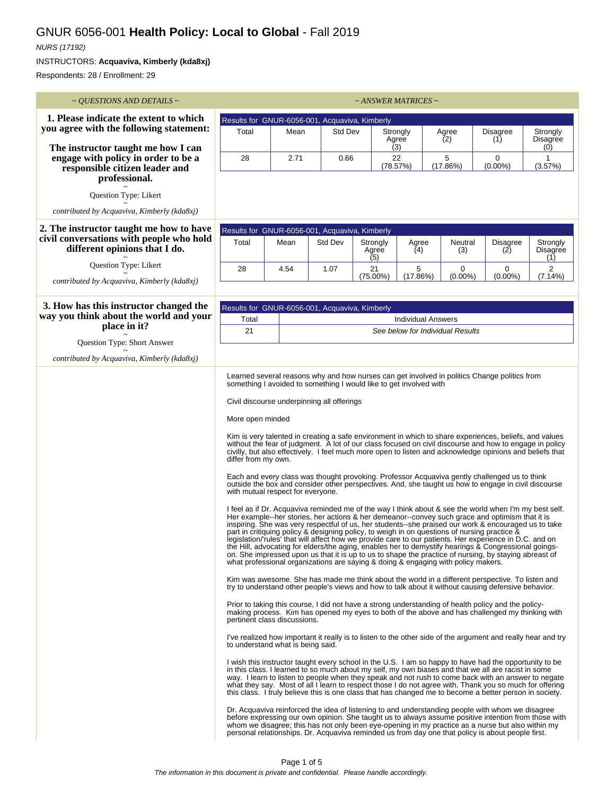## GNUR 6056-001 **Health Policy: Local to Global** - Fall 2019

## NURS (17192)

INSTRUCTORS: **Acquaviva, Kimberly (kda8xj)**

Respondents: 28 / Enrollment: 29

| $\sim$ <i>QUESTIONS AND DETAILS</i> $\sim$                                             |                                                                                                                                                                                                                                                                                                                                                                                                                                                                                                                                                                                                                                                                                                                                                                                                                                                                                                                                                                                                                                                                                                                                                                                                                                                                                                                                                                                                                                                                                                                                                                                                                                                                                                                                                                                                                                                                                                                                                                                                                                                                                                                                                                                                                                                                                                                                                                                                                                                                                                                                                                                                                                                                                                                                                                                                                                                                                                                                                                                                                                                      |                 |         | ~ ANSWER MATRICES ~ |                   |                                                               |                        |                                                                                                                                                                                                        |  |  |
|----------------------------------------------------------------------------------------|------------------------------------------------------------------------------------------------------------------------------------------------------------------------------------------------------------------------------------------------------------------------------------------------------------------------------------------------------------------------------------------------------------------------------------------------------------------------------------------------------------------------------------------------------------------------------------------------------------------------------------------------------------------------------------------------------------------------------------------------------------------------------------------------------------------------------------------------------------------------------------------------------------------------------------------------------------------------------------------------------------------------------------------------------------------------------------------------------------------------------------------------------------------------------------------------------------------------------------------------------------------------------------------------------------------------------------------------------------------------------------------------------------------------------------------------------------------------------------------------------------------------------------------------------------------------------------------------------------------------------------------------------------------------------------------------------------------------------------------------------------------------------------------------------------------------------------------------------------------------------------------------------------------------------------------------------------------------------------------------------------------------------------------------------------------------------------------------------------------------------------------------------------------------------------------------------------------------------------------------------------------------------------------------------------------------------------------------------------------------------------------------------------------------------------------------------------------------------------------------------------------------------------------------------------------------------------------------------------------------------------------------------------------------------------------------------------------------------------------------------------------------------------------------------------------------------------------------------------------------------------------------------------------------------------------------------------------------------------------------------------------------------------------------------|-----------------|---------|---------------------|-------------------|---------------------------------------------------------------|------------------------|--------------------------------------------------------------------------------------------------------------------------------------------------------------------------------------------------------|--|--|
| 1. Please indicate the extent to which                                                 | Results for GNUR-6056-001, Acquaviva, Kimberly                                                                                                                                                                                                                                                                                                                                                                                                                                                                                                                                                                                                                                                                                                                                                                                                                                                                                                                                                                                                                                                                                                                                                                                                                                                                                                                                                                                                                                                                                                                                                                                                                                                                                                                                                                                                                                                                                                                                                                                                                                                                                                                                                                                                                                                                                                                                                                                                                                                                                                                                                                                                                                                                                                                                                                                                                                                                                                                                                                                                       |                 |         |                     |                   |                                                               |                        |                                                                                                                                                                                                        |  |  |
| you agree with the following statement:                                                | Total                                                                                                                                                                                                                                                                                                                                                                                                                                                                                                                                                                                                                                                                                                                                                                                                                                                                                                                                                                                                                                                                                                                                                                                                                                                                                                                                                                                                                                                                                                                                                                                                                                                                                                                                                                                                                                                                                                                                                                                                                                                                                                                                                                                                                                                                                                                                                                                                                                                                                                                                                                                                                                                                                                                                                                                                                                                                                                                                                                                                                                                | Mean<br>Std Dev |         |                     | Strongly<br>Agree |                                                               | <b>Disagree</b>        | Strongly                                                                                                                                                                                               |  |  |
| The instructor taught me how I can                                                     |                                                                                                                                                                                                                                                                                                                                                                                                                                                                                                                                                                                                                                                                                                                                                                                                                                                                                                                                                                                                                                                                                                                                                                                                                                                                                                                                                                                                                                                                                                                                                                                                                                                                                                                                                                                                                                                                                                                                                                                                                                                                                                                                                                                                                                                                                                                                                                                                                                                                                                                                                                                                                                                                                                                                                                                                                                                                                                                                                                                                                                                      |                 |         |                     | Agree<br>(3)      | (2)                                                           | (1)                    | Disagree<br>(0)                                                                                                                                                                                        |  |  |
| engage with policy in order to be a<br>responsible citizen leader and<br>professional. | 28                                                                                                                                                                                                                                                                                                                                                                                                                                                                                                                                                                                                                                                                                                                                                                                                                                                                                                                                                                                                                                                                                                                                                                                                                                                                                                                                                                                                                                                                                                                                                                                                                                                                                                                                                                                                                                                                                                                                                                                                                                                                                                                                                                                                                                                                                                                                                                                                                                                                                                                                                                                                                                                                                                                                                                                                                                                                                                                                                                                                                                                   | 2.71            | 0.66    |                     | 22<br>(78.57%)    | 5<br>(17.86%)                                                 | $\Omega$<br>$(0.00\%)$ | 1<br>(3.57%)                                                                                                                                                                                           |  |  |
| Question Type: Likert                                                                  |                                                                                                                                                                                                                                                                                                                                                                                                                                                                                                                                                                                                                                                                                                                                                                                                                                                                                                                                                                                                                                                                                                                                                                                                                                                                                                                                                                                                                                                                                                                                                                                                                                                                                                                                                                                                                                                                                                                                                                                                                                                                                                                                                                                                                                                                                                                                                                                                                                                                                                                                                                                                                                                                                                                                                                                                                                                                                                                                                                                                                                                      |                 |         |                     |                   |                                                               |                        |                                                                                                                                                                                                        |  |  |
| contributed by Acquaviva, Kimberly (kda8xj)                                            |                                                                                                                                                                                                                                                                                                                                                                                                                                                                                                                                                                                                                                                                                                                                                                                                                                                                                                                                                                                                                                                                                                                                                                                                                                                                                                                                                                                                                                                                                                                                                                                                                                                                                                                                                                                                                                                                                                                                                                                                                                                                                                                                                                                                                                                                                                                                                                                                                                                                                                                                                                                                                                                                                                                                                                                                                                                                                                                                                                                                                                                      |                 |         |                     |                   |                                                               |                        |                                                                                                                                                                                                        |  |  |
| 2. The instructor taught me how to have                                                | Results for GNUR-6056-001, Acquaviva, Kimberly                                                                                                                                                                                                                                                                                                                                                                                                                                                                                                                                                                                                                                                                                                                                                                                                                                                                                                                                                                                                                                                                                                                                                                                                                                                                                                                                                                                                                                                                                                                                                                                                                                                                                                                                                                                                                                                                                                                                                                                                                                                                                                                                                                                                                                                                                                                                                                                                                                                                                                                                                                                                                                                                                                                                                                                                                                                                                                                                                                                                       |                 |         |                     |                   |                                                               |                        |                                                                                                                                                                                                        |  |  |
| civil conversations with people who hold<br>different opinions that I do.              | Total                                                                                                                                                                                                                                                                                                                                                                                                                                                                                                                                                                                                                                                                                                                                                                                                                                                                                                                                                                                                                                                                                                                                                                                                                                                                                                                                                                                                                                                                                                                                                                                                                                                                                                                                                                                                                                                                                                                                                                                                                                                                                                                                                                                                                                                                                                                                                                                                                                                                                                                                                                                                                                                                                                                                                                                                                                                                                                                                                                                                                                                | Mean            | Std Dev | Strongly<br>Agree   | Agree<br>(4)      | Neutral<br>(3)                                                | <b>Disagree</b><br>(2) | Strongly<br>Disagree                                                                                                                                                                                   |  |  |
| Question Type: Likert                                                                  | 28                                                                                                                                                                                                                                                                                                                                                                                                                                                                                                                                                                                                                                                                                                                                                                                                                                                                                                                                                                                                                                                                                                                                                                                                                                                                                                                                                                                                                                                                                                                                                                                                                                                                                                                                                                                                                                                                                                                                                                                                                                                                                                                                                                                                                                                                                                                                                                                                                                                                                                                                                                                                                                                                                                                                                                                                                                                                                                                                                                                                                                                   | 4.54            | 1.07    | (5)<br>21           | 5                 | 0                                                             | 0                      | (1)<br>2                                                                                                                                                                                               |  |  |
| contributed by Acquaviva, Kimberly (kda8xj)                                            |                                                                                                                                                                                                                                                                                                                                                                                                                                                                                                                                                                                                                                                                                                                                                                                                                                                                                                                                                                                                                                                                                                                                                                                                                                                                                                                                                                                                                                                                                                                                                                                                                                                                                                                                                                                                                                                                                                                                                                                                                                                                                                                                                                                                                                                                                                                                                                                                                                                                                                                                                                                                                                                                                                                                                                                                                                                                                                                                                                                                                                                      |                 |         | (75.00%)            | (17.86%)          | $(0.00\%)$                                                    | $(0.00\%)$             | (7.14%)                                                                                                                                                                                                |  |  |
|                                                                                        |                                                                                                                                                                                                                                                                                                                                                                                                                                                                                                                                                                                                                                                                                                                                                                                                                                                                                                                                                                                                                                                                                                                                                                                                                                                                                                                                                                                                                                                                                                                                                                                                                                                                                                                                                                                                                                                                                                                                                                                                                                                                                                                                                                                                                                                                                                                                                                                                                                                                                                                                                                                                                                                                                                                                                                                                                                                                                                                                                                                                                                                      |                 |         |                     |                   |                                                               |                        |                                                                                                                                                                                                        |  |  |
| 3. How has this instructor changed the<br>way you think about the world and your       | Results for GNUR-6056-001, Acquaviva, Kimberly                                                                                                                                                                                                                                                                                                                                                                                                                                                                                                                                                                                                                                                                                                                                                                                                                                                                                                                                                                                                                                                                                                                                                                                                                                                                                                                                                                                                                                                                                                                                                                                                                                                                                                                                                                                                                                                                                                                                                                                                                                                                                                                                                                                                                                                                                                                                                                                                                                                                                                                                                                                                                                                                                                                                                                                                                                                                                                                                                                                                       |                 |         |                     |                   |                                                               |                        |                                                                                                                                                                                                        |  |  |
| place in it?                                                                           | Total<br>21                                                                                                                                                                                                                                                                                                                                                                                                                                                                                                                                                                                                                                                                                                                                                                                                                                                                                                                                                                                                                                                                                                                                                                                                                                                                                                                                                                                                                                                                                                                                                                                                                                                                                                                                                                                                                                                                                                                                                                                                                                                                                                                                                                                                                                                                                                                                                                                                                                                                                                                                                                                                                                                                                                                                                                                                                                                                                                                                                                                                                                          |                 |         |                     |                   | <b>Individual Answers</b><br>See below for Individual Results |                        |                                                                                                                                                                                                        |  |  |
| Question Type: Short Answer                                                            |                                                                                                                                                                                                                                                                                                                                                                                                                                                                                                                                                                                                                                                                                                                                                                                                                                                                                                                                                                                                                                                                                                                                                                                                                                                                                                                                                                                                                                                                                                                                                                                                                                                                                                                                                                                                                                                                                                                                                                                                                                                                                                                                                                                                                                                                                                                                                                                                                                                                                                                                                                                                                                                                                                                                                                                                                                                                                                                                                                                                                                                      |                 |         |                     |                   |                                                               |                        |                                                                                                                                                                                                        |  |  |
| contributed by Acquaviva, Kimberly (kda8xj)                                            |                                                                                                                                                                                                                                                                                                                                                                                                                                                                                                                                                                                                                                                                                                                                                                                                                                                                                                                                                                                                                                                                                                                                                                                                                                                                                                                                                                                                                                                                                                                                                                                                                                                                                                                                                                                                                                                                                                                                                                                                                                                                                                                                                                                                                                                                                                                                                                                                                                                                                                                                                                                                                                                                                                                                                                                                                                                                                                                                                                                                                                                      |                 |         |                     |                   |                                                               |                        |                                                                                                                                                                                                        |  |  |
|                                                                                        | Learned several reasons why and how nurses can get involved in politics Change politics from<br>something I avoided to something I would like to get involved with<br>Civil discourse underpinning all offerings<br>More open minded<br>Kim is very talented in creating a safe environment in which to share experiences, beliefs, and values<br>without the fear of judgment. A lot of our class focused on civil discourse and how to engage in policy<br>civilly, but also effectively. I feel much more open to listen and acknowledge opinions and beliefs that<br>differ from my own.<br>Each and every class was thought provoking. Professor Acquaviva gently challenged us to think<br>outside the box and consider other perspectives. And, she taught us how to engage in civil discourse<br>with mutual respect for everyone.<br>I feel as if Dr. Acquaviva reminded me of the way I think about & see the world when I'm my best self.<br>Her example--her stories, her actions & her demeanor--convey such grace and optimism that it is<br>inspiring. She was very respectful of us, her students--she praised our work & encouraged us to take<br>part in critiquing policy & designing policy, to weigh in on questions of nursing practice &<br>legislation/'rules' that will affect how we provide care to our patients. Her experience in D.C. and on<br>the Hill, advocating for elders/the aging, enables her to demystify hearings & Congressional goings-<br>on. She impressed upon us that it is up to us to shape the practice of nursing, by staying abreast of<br>what professional organizations are saying & doing & engaging with policy makers.<br>Kim was awesome. She has made me think about the world in a different perspective. To listen and<br>try to understand other people's views and how to talk about it without causing defensive behavior.<br>Prior to taking this course, I did not have a strong understanding of health policy and the policy-<br>making process. Kim has opened my eyes to both of the above and has challenged my thinking with<br>pertinent class discussions.<br>I've realized how important it really is to listen to the other side of the argument and really hear and try<br>to understand what is being said.<br>I wish this instructor taught every school in the U.S. I am so happy to have had the opportunity to be<br>in this class. I learned to so much about my self, my own biases and that we all are racist in some<br>way. I learn to listen to people when they speak and not rush to come back with an answer to negate<br>what they say. Most of all I learn to respect those I do not agree with. Thank you so much for offering<br>this class. I truly believe this is one class that has changed me to become a better person in society.<br>Dr. Acquaviva reinforced the idea of listening to and understanding people with whom we disagree<br>before expressing our own opinion. She taught us to always assume positive intention from those with |                 |         |                     |                   |                                                               |                        | whom we disagree; this has not only been eye-opening in my practice as a nurse but also within my<br>personal relationships. Dr. Acquaviva reminded us from day one that policy is about people first. |  |  |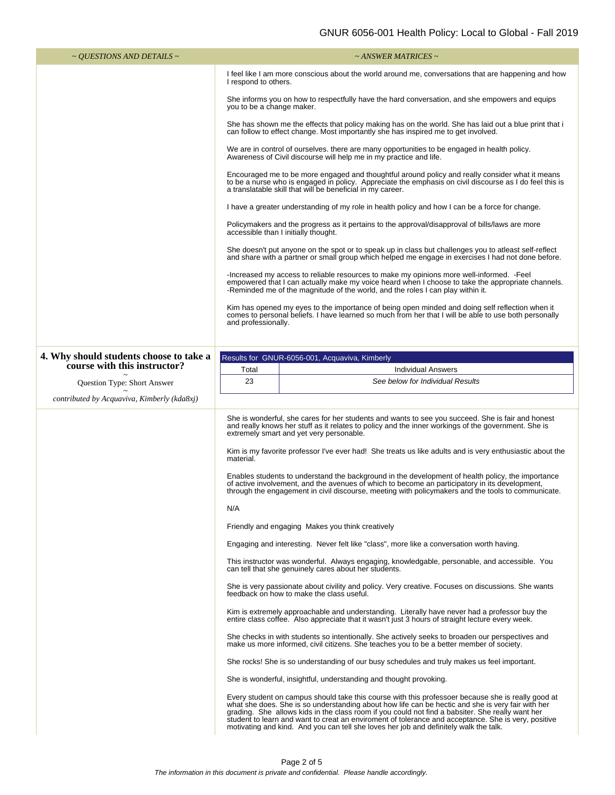| $\sim$ <i>QUESTIONS AND DETAILS</i> $\sim$                              | $\sim$ ANSWER MATRICES $\sim$                                                                                                                                                                                                                                                                                                                                                                                                                                                                                       |  |  |  |  |  |
|-------------------------------------------------------------------------|---------------------------------------------------------------------------------------------------------------------------------------------------------------------------------------------------------------------------------------------------------------------------------------------------------------------------------------------------------------------------------------------------------------------------------------------------------------------------------------------------------------------|--|--|--|--|--|
|                                                                         | I feel like I am more conscious about the world around me, conversations that are happening and how<br>I respond to others.                                                                                                                                                                                                                                                                                                                                                                                         |  |  |  |  |  |
|                                                                         | She informs you on how to respectfully have the hard conversation, and she empowers and equips<br>you to be a change maker.                                                                                                                                                                                                                                                                                                                                                                                         |  |  |  |  |  |
|                                                                         | She has shown me the effects that policy making has on the world. She has laid out a blue print that i<br>can follow to effect change. Most importantly she has inspired me to get involved.                                                                                                                                                                                                                                                                                                                        |  |  |  |  |  |
|                                                                         | We are in control of ourselves, there are many opportunities to be engaged in health policy.<br>Awareness of Civil discourse will help me in my practice and life.                                                                                                                                                                                                                                                                                                                                                  |  |  |  |  |  |
|                                                                         | Encouraged me to be more engaged and thoughtful around policy and really consider what it means<br>to be a nurse who is engaged in policy. Appreciate the emphasis on civil discourse as I do feel this is<br>a translatable skill that will be beneficial in my career.<br>I have a greater understanding of my role in health policy and how I can be a force for change.                                                                                                                                         |  |  |  |  |  |
|                                                                         |                                                                                                                                                                                                                                                                                                                                                                                                                                                                                                                     |  |  |  |  |  |
|                                                                         | Policymakers and the progress as it pertains to the approval/disapproval of bills/laws are more<br>accessible than I initially thought.                                                                                                                                                                                                                                                                                                                                                                             |  |  |  |  |  |
|                                                                         | She doesn't put anyone on the spot or to speak up in class but challenges you to atleast self-reflect<br>and share with a partner or small group which helped me engage in exercises I had not done before.                                                                                                                                                                                                                                                                                                         |  |  |  |  |  |
|                                                                         | -Increased my access to reliable resources to make my opinions more well-informed. -Feel<br>empowered that I can actually make my voice heard when I choose to take the appropriate channels.<br>-Reminded me of the magnitude of the world, and the roles I can play within it.<br>Kim has opened my eyes to the importance of being open minded and doing self reflection when it<br>comes to personal beliefs. I have learned so much from her that I will be able to use both personally<br>and professionally. |  |  |  |  |  |
|                                                                         |                                                                                                                                                                                                                                                                                                                                                                                                                                                                                                                     |  |  |  |  |  |
|                                                                         |                                                                                                                                                                                                                                                                                                                                                                                                                                                                                                                     |  |  |  |  |  |
| 4. Why should students choose to take a<br>course with this instructor? | Results for GNUR-6056-001, Acquaviva, Kimberly                                                                                                                                                                                                                                                                                                                                                                                                                                                                      |  |  |  |  |  |
| Question Type: Short Answer                                             | Total<br><b>Individual Answers</b><br>23<br>See below for Individual Results                                                                                                                                                                                                                                                                                                                                                                                                                                        |  |  |  |  |  |
| contributed by Acquaviva, Kimberly (kda8xj)                             |                                                                                                                                                                                                                                                                                                                                                                                                                                                                                                                     |  |  |  |  |  |
|                                                                         | She is wonderful, she cares for her students and wants to see you succeed. She is fair and honest<br>and really knows her stuff as it relates to policy and the inner workings of the government. She is<br>extremely smart and yet very personable.                                                                                                                                                                                                                                                                |  |  |  |  |  |
|                                                                         | Kim is my favorite professor I've ever had! She treats us like adults and is very enthusiastic about the<br>material.                                                                                                                                                                                                                                                                                                                                                                                               |  |  |  |  |  |
|                                                                         | Enables students to understand the background in the development of health policy, the importance<br>of active involvement, and the avenues of which to become an participatory in its development,<br>through the engagement in civil discourse, meeting with policymakers and the tools to communicate.                                                                                                                                                                                                           |  |  |  |  |  |
|                                                                         | N/A                                                                                                                                                                                                                                                                                                                                                                                                                                                                                                                 |  |  |  |  |  |
|                                                                         | Friendly and engaging Makes you think creatively                                                                                                                                                                                                                                                                                                                                                                                                                                                                    |  |  |  |  |  |
|                                                                         | Engaging and interesting. Never felt like "class", more like a conversation worth having.                                                                                                                                                                                                                                                                                                                                                                                                                           |  |  |  |  |  |
|                                                                         | This instructor was wonderful. Always engaging, knowledgable, personable, and accessible. You<br>can tell that she genuinely cares about her students.                                                                                                                                                                                                                                                                                                                                                              |  |  |  |  |  |
|                                                                         | She is very passionate about civility and policy. Very creative. Focuses on discussions. She wants<br>feedback on how to make the class useful.<br>Kim is extremely approachable and understanding. Literally have never had a professor buy the<br>entire class coffee. Also appreciate that it wasn't just 3 hours of straight lecture every week.                                                                                                                                                                |  |  |  |  |  |
|                                                                         |                                                                                                                                                                                                                                                                                                                                                                                                                                                                                                                     |  |  |  |  |  |
|                                                                         | She checks in with students so intentionally. She actively seeks to broaden our perspectives and<br>make us more informed, civil citizens. She teaches you to be a better member of society.                                                                                                                                                                                                                                                                                                                        |  |  |  |  |  |
|                                                                         | She rocks! She is so understanding of our busy schedules and truly makes us feel important.                                                                                                                                                                                                                                                                                                                                                                                                                         |  |  |  |  |  |
|                                                                         | She is wonderful, insightful, understanding and thought provoking.                                                                                                                                                                                                                                                                                                                                                                                                                                                  |  |  |  |  |  |
|                                                                         | Every student on campus should take this course with this professoer because she is really good at<br>what she does. She is so understanding about how life can be hectic and she is very fair with her<br>grading. She allows kids in the class room if you could not find a babsiter. She really want her<br>student to learn and want to creat an enviroment of tolerance and acceptance. She is very, positive<br>motivating and kind. And you can tell she loves her job and definitely walk the talk.         |  |  |  |  |  |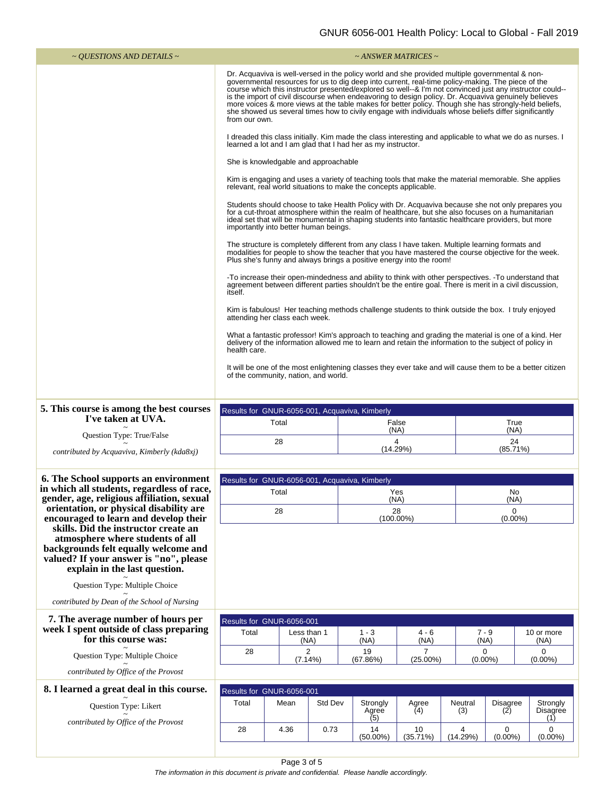| ~ <i>OUESTIONS AND DETAILS</i> ~                                                                                                                                                                                                     | ~ ANSWER MATRICES ~                                                                                                                                                                                                                                                                                                                                                                                                                                                                                                                                                                                                                                      |      |         |                                                                                                    |               |                |                                            |                      |  |
|--------------------------------------------------------------------------------------------------------------------------------------------------------------------------------------------------------------------------------------|----------------------------------------------------------------------------------------------------------------------------------------------------------------------------------------------------------------------------------------------------------------------------------------------------------------------------------------------------------------------------------------------------------------------------------------------------------------------------------------------------------------------------------------------------------------------------------------------------------------------------------------------------------|------|---------|----------------------------------------------------------------------------------------------------|---------------|----------------|--------------------------------------------|----------------------|--|
|                                                                                                                                                                                                                                      | Dr. Acquaviva is well-versed in the policy world and she provided multiple governmental & non-<br>governmental resources for us to dig deep into current, real-time policy-making. The piece of the<br>course which this instructor presented/explored so well--& I'm not convinced just any instructor could--<br>is the import of civil discourse when endeavoring to design policy. Dr. Acquaviva genuinely believes<br>more voices & more views at the table makes for better policy. Though she has strongly-held beliefs,<br>she showed us several times how to civily engage with individuals whose beliefs differ significantly<br>from our own. |      |         |                                                                                                    |               |                |                                            |                      |  |
|                                                                                                                                                                                                                                      | I dreaded this class initially. Kim made the class interesting and applicable to what we do as nurses. I<br>learned a lot and I am glad that I had her as my instructor.                                                                                                                                                                                                                                                                                                                                                                                                                                                                                 |      |         |                                                                                                    |               |                |                                            |                      |  |
|                                                                                                                                                                                                                                      | She is knowledgable and approachable                                                                                                                                                                                                                                                                                                                                                                                                                                                                                                                                                                                                                     |      |         |                                                                                                    |               |                |                                            |                      |  |
|                                                                                                                                                                                                                                      | Kim is engaging and uses a variety of teaching tools that make the material memorable. She applies<br>relevant, real world situations to make the concepts applicable.                                                                                                                                                                                                                                                                                                                                                                                                                                                                                   |      |         |                                                                                                    |               |                |                                            |                      |  |
|                                                                                                                                                                                                                                      | Students should choose to take Health Policy with Dr. Acquaviva because she not only prepares you<br>for a cut-throat atmosphere within the realm of healthcare, but she also focuses on a humanitarian<br>ideal set that will be monumental in shaping students into fantastic healthcare providers, but more<br>importantly into better human beings.                                                                                                                                                                                                                                                                                                  |      |         |                                                                                                    |               |                |                                            |                      |  |
|                                                                                                                                                                                                                                      | The structure is completely different from any class I have taken. Multiple learning formats and<br>modalities for people to show the teacher that you have mastered the course objective for the week.<br>Plus she's funny and always brings a positive energy into the room!                                                                                                                                                                                                                                                                                                                                                                           |      |         |                                                                                                    |               |                |                                            |                      |  |
|                                                                                                                                                                                                                                      | -To increase their open-mindedness and ability to think with other perspectives. -To understand that<br>agreement between different parties shouldn't be the entire goal. There is merit in a civil discussion,<br>itself.                                                                                                                                                                                                                                                                                                                                                                                                                               |      |         |                                                                                                    |               |                |                                            |                      |  |
|                                                                                                                                                                                                                                      |                                                                                                                                                                                                                                                                                                                                                                                                                                                                                                                                                                                                                                                          |      |         | Kim is fabulous! Her teaching methods challenge students to think outside the box. I truly enjoyed |               |                |                                            |                      |  |
|                                                                                                                                                                                                                                      | attending her class each week.<br>What a fantastic professor! Kim's approach to teaching and grading the material is one of a kind. Her<br>delivery of the information allowed me to learn and retain the information to the subject of policy in                                                                                                                                                                                                                                                                                                                                                                                                        |      |         |                                                                                                    |               |                |                                            |                      |  |
|                                                                                                                                                                                                                                      | health care.<br>It will be one of the most enlightening classes they ever take and will cause them to be a better citizen<br>of the community, nation, and world.                                                                                                                                                                                                                                                                                                                                                                                                                                                                                        |      |         |                                                                                                    |               |                |                                            |                      |  |
| 5. This course is among the best courses                                                                                                                                                                                             |                                                                                                                                                                                                                                                                                                                                                                                                                                                                                                                                                                                                                                                          |      |         | Results for GNUR-6056-001, Acquaviva, Kimberly                                                     |               |                |                                            |                      |  |
| I've taken at UVA.                                                                                                                                                                                                                   | Total                                                                                                                                                                                                                                                                                                                                                                                                                                                                                                                                                                                                                                                    |      |         |                                                                                                    | False<br>(NA) |                | True<br>(NA)                               |                      |  |
| Question Type: True/False<br>contributed by Acquaviva, Kimberly (kda8xj)                                                                                                                                                             | 28                                                                                                                                                                                                                                                                                                                                                                                                                                                                                                                                                                                                                                                       |      |         | 24<br>4<br>(14.29%)<br>(85.71%)                                                                    |               |                |                                            |                      |  |
| 6. The School supports an environment                                                                                                                                                                                                |                                                                                                                                                                                                                                                                                                                                                                                                                                                                                                                                                                                                                                                          |      |         |                                                                                                    |               |                |                                            |                      |  |
| in which all students, regardless of race,<br>gender, age, religious affiliation, sexual                                                                                                                                             | Results for GNUR-6056-001, Acquaviva, Kimberly<br>Total                                                                                                                                                                                                                                                                                                                                                                                                                                                                                                                                                                                                  |      |         |                                                                                                    | Yes<br>(NA)   |                | No<br>(NA)                                 |                      |  |
| orientation, or physical disability are                                                                                                                                                                                              |                                                                                                                                                                                                                                                                                                                                                                                                                                                                                                                                                                                                                                                          | 28   |         |                                                                                                    | 28            |                | 0                                          |                      |  |
| encouraged to learn and develop their<br>skills. Did the instructor create an<br>atmosphere where students of all<br>backgrounds felt equally welcome and<br>valued? If your answer is "no", please<br>explain in the last question. |                                                                                                                                                                                                                                                                                                                                                                                                                                                                                                                                                                                                                                                          |      |         |                                                                                                    | $(100.00\%)$  |                | $(0.00\%)$                                 |                      |  |
| Question Type: Multiple Choice                                                                                                                                                                                                       |                                                                                                                                                                                                                                                                                                                                                                                                                                                                                                                                                                                                                                                          |      |         |                                                                                                    |               |                |                                            |                      |  |
| contributed by Dean of the School of Nursing                                                                                                                                                                                         |                                                                                                                                                                                                                                                                                                                                                                                                                                                                                                                                                                                                                                                          |      |         |                                                                                                    |               |                |                                            |                      |  |
| 7. The average number of hours per<br>week I spent outside of class preparing<br>for this course was:                                                                                                                                | Results for GNUR-6056-001<br>Total<br>Less than 1<br>(NA)                                                                                                                                                                                                                                                                                                                                                                                                                                                                                                                                                                                                |      |         | $1 - 3$<br>$4 - 6$<br>(NA)<br>(NA)                                                                 |               |                | $7 - 9$<br>10 or more<br>(NA)              |                      |  |
| Question Type: Multiple Choice                                                                                                                                                                                                       | 28                                                                                                                                                                                                                                                                                                                                                                                                                                                                                                                                                                                                                                                       | 2    |         | 19<br>(67.86%)<br>$(25.00\%)$                                                                      |               |                | (NA)<br>0<br>0<br>$(0.00\%)$<br>$(0.00\%)$ |                      |  |
| contributed by Office of the Provost                                                                                                                                                                                                 | (7.14%)                                                                                                                                                                                                                                                                                                                                                                                                                                                                                                                                                                                                                                                  |      |         |                                                                                                    |               |                |                                            |                      |  |
| 8. I learned a great deal in this course.                                                                                                                                                                                            | Results for GNUR-6056-001                                                                                                                                                                                                                                                                                                                                                                                                                                                                                                                                                                                                                                |      |         |                                                                                                    |               |                |                                            |                      |  |
| Question Type: Likert                                                                                                                                                                                                                | Total                                                                                                                                                                                                                                                                                                                                                                                                                                                                                                                                                                                                                                                    | Mean | Std Dev | Strongly<br>Agree                                                                                  | Agree<br>(4)  | Neutral<br>(3) | <b>Disagree</b><br>(2)                     | Strongly<br>Disagree |  |
| contributed by Office of the Provost                                                                                                                                                                                                 | 28                                                                                                                                                                                                                                                                                                                                                                                                                                                                                                                                                                                                                                                       | 4.36 | 0.73    | (5)<br>14                                                                                          | 10            | 4              | $\mathbf 0$                                | (1)<br>0             |  |
|                                                                                                                                                                                                                                      |                                                                                                                                                                                                                                                                                                                                                                                                                                                                                                                                                                                                                                                          |      |         | $(50.00\%)$                                                                                        | (35.71%)      | (14.29%)       | $(0.00\%)$                                 | $(0.00\%)$           |  |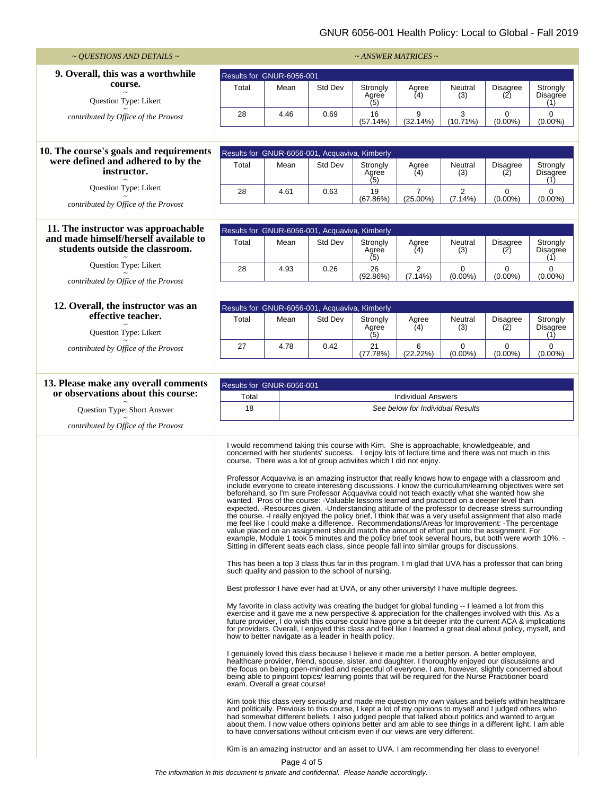## GNUR 6056-001 Health Policy: Local to Global - Fall 2019

| $\sim$ QUESTIONS AND DETAILS $\sim$                                        |                                                                                                                                                                                                                                                                                                                                                                                                                                                                                                                                                                                                                                                                                                                                                                                                                                                                                                                                                                                                                                                                                                                                                                                                                                                                                                                                                                                                                                                                                                                                                                                                                                                                                                                                                                                                                                                                                                                                                                                                                                                                                                                                                                                                                                                                                                                                                                                                                                                                                                                                                                                                                                                                                                                                                                                                                                                                                                                                                                                                                                                                                                                                                         |      |                                                |                          | $~\sim$ ANSWER MATRICES $\sim$ |                           |                                |                             |
|----------------------------------------------------------------------------|---------------------------------------------------------------------------------------------------------------------------------------------------------------------------------------------------------------------------------------------------------------------------------------------------------------------------------------------------------------------------------------------------------------------------------------------------------------------------------------------------------------------------------------------------------------------------------------------------------------------------------------------------------------------------------------------------------------------------------------------------------------------------------------------------------------------------------------------------------------------------------------------------------------------------------------------------------------------------------------------------------------------------------------------------------------------------------------------------------------------------------------------------------------------------------------------------------------------------------------------------------------------------------------------------------------------------------------------------------------------------------------------------------------------------------------------------------------------------------------------------------------------------------------------------------------------------------------------------------------------------------------------------------------------------------------------------------------------------------------------------------------------------------------------------------------------------------------------------------------------------------------------------------------------------------------------------------------------------------------------------------------------------------------------------------------------------------------------------------------------------------------------------------------------------------------------------------------------------------------------------------------------------------------------------------------------------------------------------------------------------------------------------------------------------------------------------------------------------------------------------------------------------------------------------------------------------------------------------------------------------------------------------------------------------------------------------------------------------------------------------------------------------------------------------------------------------------------------------------------------------------------------------------------------------------------------------------------------------------------------------------------------------------------------------------------------------------------------------------------------------------------------------------|------|------------------------------------------------|--------------------------|--------------------------------|---------------------------|--------------------------------|-----------------------------|
| 9. Overall, this was a worthwhile                                          | Results for GNUR-6056-001                                                                                                                                                                                                                                                                                                                                                                                                                                                                                                                                                                                                                                                                                                                                                                                                                                                                                                                                                                                                                                                                                                                                                                                                                                                                                                                                                                                                                                                                                                                                                                                                                                                                                                                                                                                                                                                                                                                                                                                                                                                                                                                                                                                                                                                                                                                                                                                                                                                                                                                                                                                                                                                                                                                                                                                                                                                                                                                                                                                                                                                                                                                               |      |                                                |                          |                                |                           |                                |                             |
| course.<br>Question Type: Likert                                           | Total                                                                                                                                                                                                                                                                                                                                                                                                                                                                                                                                                                                                                                                                                                                                                                                                                                                                                                                                                                                                                                                                                                                                                                                                                                                                                                                                                                                                                                                                                                                                                                                                                                                                                                                                                                                                                                                                                                                                                                                                                                                                                                                                                                                                                                                                                                                                                                                                                                                                                                                                                                                                                                                                                                                                                                                                                                                                                                                                                                                                                                                                                                                                                   | Mean | Std Dev                                        | Strongly<br>Agree<br>(5) | Agree<br>(4)                   | Neutral<br>(3)            | <b>Disagree</b><br>(2)         | Strongly<br>Disagree<br>(1) |
| contributed by Office of the Provost                                       | 28                                                                                                                                                                                                                                                                                                                                                                                                                                                                                                                                                                                                                                                                                                                                                                                                                                                                                                                                                                                                                                                                                                                                                                                                                                                                                                                                                                                                                                                                                                                                                                                                                                                                                                                                                                                                                                                                                                                                                                                                                                                                                                                                                                                                                                                                                                                                                                                                                                                                                                                                                                                                                                                                                                                                                                                                                                                                                                                                                                                                                                                                                                                                                      | 4.46 | 0.69                                           | 16<br>(57.14%)           | 9<br>(32.14%)                  | 3<br>$(10.71\%)$          | $\mathbf 0$<br>$(0.00\%)$      | $\mathbf 0$<br>$(0.00\%)$   |
| 10. The course's goals and requirements                                    |                                                                                                                                                                                                                                                                                                                                                                                                                                                                                                                                                                                                                                                                                                                                                                                                                                                                                                                                                                                                                                                                                                                                                                                                                                                                                                                                                                                                                                                                                                                                                                                                                                                                                                                                                                                                                                                                                                                                                                                                                                                                                                                                                                                                                                                                                                                                                                                                                                                                                                                                                                                                                                                                                                                                                                                                                                                                                                                                                                                                                                                                                                                                                         |      | Results for GNUR-6056-001, Acquaviva, Kimberly |                          |                                |                           |                                |                             |
| were defined and adhered to by the<br>instructor.                          | Total                                                                                                                                                                                                                                                                                                                                                                                                                                                                                                                                                                                                                                                                                                                                                                                                                                                                                                                                                                                                                                                                                                                                                                                                                                                                                                                                                                                                                                                                                                                                                                                                                                                                                                                                                                                                                                                                                                                                                                                                                                                                                                                                                                                                                                                                                                                                                                                                                                                                                                                                                                                                                                                                                                                                                                                                                                                                                                                                                                                                                                                                                                                                                   | Mean | Std Dev                                        | Strongly<br>Agree<br>(5) | Agree<br>(4)                   | Neutral<br>(3)            | <b>Disagree</b><br>(2)         | Strongly<br>Disagree<br>(1) |
| Question Type: Likert<br>contributed by Office of the Provost              | 28                                                                                                                                                                                                                                                                                                                                                                                                                                                                                                                                                                                                                                                                                                                                                                                                                                                                                                                                                                                                                                                                                                                                                                                                                                                                                                                                                                                                                                                                                                                                                                                                                                                                                                                                                                                                                                                                                                                                                                                                                                                                                                                                                                                                                                                                                                                                                                                                                                                                                                                                                                                                                                                                                                                                                                                                                                                                                                                                                                                                                                                                                                                                                      | 4.61 | 0.63                                           | 19<br>(67.86%)           | $\overline{7}$<br>$(25.00\%)$  | $\overline{2}$<br>(7.14%) | $\boldsymbol{0}$<br>$(0.00\%)$ | 0<br>$(0.00\%)$             |
|                                                                            |                                                                                                                                                                                                                                                                                                                                                                                                                                                                                                                                                                                                                                                                                                                                                                                                                                                                                                                                                                                                                                                                                                                                                                                                                                                                                                                                                                                                                                                                                                                                                                                                                                                                                                                                                                                                                                                                                                                                                                                                                                                                                                                                                                                                                                                                                                                                                                                                                                                                                                                                                                                                                                                                                                                                                                                                                                                                                                                                                                                                                                                                                                                                                         |      |                                                |                          |                                |                           |                                |                             |
| 11. The instructor was approachable                                        |                                                                                                                                                                                                                                                                                                                                                                                                                                                                                                                                                                                                                                                                                                                                                                                                                                                                                                                                                                                                                                                                                                                                                                                                                                                                                                                                                                                                                                                                                                                                                                                                                                                                                                                                                                                                                                                                                                                                                                                                                                                                                                                                                                                                                                                                                                                                                                                                                                                                                                                                                                                                                                                                                                                                                                                                                                                                                                                                                                                                                                                                                                                                                         |      | Results for GNUR-6056-001, Acquaviva, Kimberly |                          |                                |                           |                                |                             |
| and made himself/herself available to<br>students outside the classroom.   | Total                                                                                                                                                                                                                                                                                                                                                                                                                                                                                                                                                                                                                                                                                                                                                                                                                                                                                                                                                                                                                                                                                                                                                                                                                                                                                                                                                                                                                                                                                                                                                                                                                                                                                                                                                                                                                                                                                                                                                                                                                                                                                                                                                                                                                                                                                                                                                                                                                                                                                                                                                                                                                                                                                                                                                                                                                                                                                                                                                                                                                                                                                                                                                   | Mean | Std Dev                                        | Strongly<br>Agree<br>(5) | Agree<br>(4)                   | Neutral<br>(3)            | Disagree<br>(2)                | Strongly<br>Disagree<br>(1) |
| Question Type: Likert<br>contributed by Office of the Provost              | 28                                                                                                                                                                                                                                                                                                                                                                                                                                                                                                                                                                                                                                                                                                                                                                                                                                                                                                                                                                                                                                                                                                                                                                                                                                                                                                                                                                                                                                                                                                                                                                                                                                                                                                                                                                                                                                                                                                                                                                                                                                                                                                                                                                                                                                                                                                                                                                                                                                                                                                                                                                                                                                                                                                                                                                                                                                                                                                                                                                                                                                                                                                                                                      | 4.93 | 0.26                                           | 26<br>(92.86%)           | $\overline{2}$<br>(7.14%)      | 0<br>$(0.00\%)$           | 0<br>$(0.00\%)$                | $\mathbf 0$<br>$(0.00\%)$   |
|                                                                            |                                                                                                                                                                                                                                                                                                                                                                                                                                                                                                                                                                                                                                                                                                                                                                                                                                                                                                                                                                                                                                                                                                                                                                                                                                                                                                                                                                                                                                                                                                                                                                                                                                                                                                                                                                                                                                                                                                                                                                                                                                                                                                                                                                                                                                                                                                                                                                                                                                                                                                                                                                                                                                                                                                                                                                                                                                                                                                                                                                                                                                                                                                                                                         |      |                                                |                          |                                |                           |                                |                             |
| 12. Overall, the instructor was an                                         |                                                                                                                                                                                                                                                                                                                                                                                                                                                                                                                                                                                                                                                                                                                                                                                                                                                                                                                                                                                                                                                                                                                                                                                                                                                                                                                                                                                                                                                                                                                                                                                                                                                                                                                                                                                                                                                                                                                                                                                                                                                                                                                                                                                                                                                                                                                                                                                                                                                                                                                                                                                                                                                                                                                                                                                                                                                                                                                                                                                                                                                                                                                                                         |      | Results for GNUR-6056-001, Acquaviva, Kimberly |                          |                                |                           |                                |                             |
| effective teacher.<br>Question Type: Likert                                | Total                                                                                                                                                                                                                                                                                                                                                                                                                                                                                                                                                                                                                                                                                                                                                                                                                                                                                                                                                                                                                                                                                                                                                                                                                                                                                                                                                                                                                                                                                                                                                                                                                                                                                                                                                                                                                                                                                                                                                                                                                                                                                                                                                                                                                                                                                                                                                                                                                                                                                                                                                                                                                                                                                                                                                                                                                                                                                                                                                                                                                                                                                                                                                   | Mean | Std Dev                                        | Strongly<br>Agree<br>(5) | Agree<br>(4)                   | Neutral<br>(3)            | <b>Disagree</b><br>(2)         | Strongly<br>Disagree<br>(1) |
| contributed by Office of the Provost                                       | 27                                                                                                                                                                                                                                                                                                                                                                                                                                                                                                                                                                                                                                                                                                                                                                                                                                                                                                                                                                                                                                                                                                                                                                                                                                                                                                                                                                                                                                                                                                                                                                                                                                                                                                                                                                                                                                                                                                                                                                                                                                                                                                                                                                                                                                                                                                                                                                                                                                                                                                                                                                                                                                                                                                                                                                                                                                                                                                                                                                                                                                                                                                                                                      | 4.78 | 0.42                                           | 21<br>(77.78%)           | 6<br>(22.22%)                  | 0<br>$(0.00\%)$           | $\mathbf 0$<br>$(0.00\%)$      | 0<br>$(0.00\%)$             |
|                                                                            |                                                                                                                                                                                                                                                                                                                                                                                                                                                                                                                                                                                                                                                                                                                                                                                                                                                                                                                                                                                                                                                                                                                                                                                                                                                                                                                                                                                                                                                                                                                                                                                                                                                                                                                                                                                                                                                                                                                                                                                                                                                                                                                                                                                                                                                                                                                                                                                                                                                                                                                                                                                                                                                                                                                                                                                                                                                                                                                                                                                                                                                                                                                                                         |      |                                                |                          |                                |                           |                                |                             |
| 13. Please make any overall comments<br>or observations about this course: | Results for GNUR-6056-001                                                                                                                                                                                                                                                                                                                                                                                                                                                                                                                                                                                                                                                                                                                                                                                                                                                                                                                                                                                                                                                                                                                                                                                                                                                                                                                                                                                                                                                                                                                                                                                                                                                                                                                                                                                                                                                                                                                                                                                                                                                                                                                                                                                                                                                                                                                                                                                                                                                                                                                                                                                                                                                                                                                                                                                                                                                                                                                                                                                                                                                                                                                               |      |                                                |                          |                                |                           |                                |                             |
| Question Type: Short Answer                                                | Total<br><b>Individual Answers</b><br>18<br>See below for Individual Results                                                                                                                                                                                                                                                                                                                                                                                                                                                                                                                                                                                                                                                                                                                                                                                                                                                                                                                                                                                                                                                                                                                                                                                                                                                                                                                                                                                                                                                                                                                                                                                                                                                                                                                                                                                                                                                                                                                                                                                                                                                                                                                                                                                                                                                                                                                                                                                                                                                                                                                                                                                                                                                                                                                                                                                                                                                                                                                                                                                                                                                                            |      |                                                |                          |                                |                           |                                |                             |
| contributed by Office of the Provost                                       |                                                                                                                                                                                                                                                                                                                                                                                                                                                                                                                                                                                                                                                                                                                                                                                                                                                                                                                                                                                                                                                                                                                                                                                                                                                                                                                                                                                                                                                                                                                                                                                                                                                                                                                                                                                                                                                                                                                                                                                                                                                                                                                                                                                                                                                                                                                                                                                                                                                                                                                                                                                                                                                                                                                                                                                                                                                                                                                                                                                                                                                                                                                                                         |      |                                                |                          |                                |                           |                                |                             |
|                                                                            | I would recommend taking this course with Kim. She is approachable, knowledgeable, and<br>concerned with her students' success. I enjoy lots of lecture time and there was not much in this<br>course. There was a lot of group activiites which I did not enjoy.<br>Professor Acquaviva is an amazing instructor that really knows how to engage with a classroom and<br>include everyone to create interesting discussions. I know the curriculum/learning objectives were set<br>beforehand, so I'm sure Professor Acquaviva could not teach exactly what she wanted how she<br>wanted. Pros of the course: -Valuable lessons learned and practiced on a deeper level than<br>expected. -Resources given. -Understanding attitude of the professor to decrease stress surrounding<br>the course. - I really enjoyed the policy brief, I think that was a very useful assignment that also made<br>me feel like I could make a difference. Recommendations/Areas for Improvement: -The percentage<br>value placed on an assignment should match the amount of effort put into the assignment. For<br>example, Module 1 took 5 minutes and the policy brief took several hours, but both were worth 10%. -<br>Sitting in different seats each class, since people fall into similar groups for discussions.<br>This has been a top 3 class thus far in this program. I m glad that UVA has a professor that can bring<br>such quality and passion to the school of nursing.<br>Best professor I have ever had at UVA, or any other university! I have multiple degrees.<br>My favorite in class activity was creating the budget for global funding -- I learned a lot from this<br>exercise and it gave me a new perspective & appreciation for the challenges involved with this. As a<br>future provider, I do wish this course could have gone a bit deeper into the current ACA & implications<br>for providers. Overall, I enjoyed this class and feel like I learned a great deal about policy, myself, and<br>how to better navigate as a leader in health policy.<br>I genuinely loved this class because I believe it made me a better person. A better employee,<br>healthcare provider, friend, spouse, sister, and daughter. I thoroughly enjoyed our discussions and<br>the focus on being open-minded and respectful of everyone. I am, however, slightly concerned about<br>being able to pinpoint topics/ learning points that will be required for the Nurse Practitioner board<br>exam. Overall a great course!<br>Kim took this class very seriously and made me question my own values and beliefs within healthcare<br>and politically. Previous to this course, I kept a lot of my opinions to myself and I judged others who<br>had somewhat different beliefs. I also judged people that talked about politics and wanted to argue<br>about them. I now value others opinions better and am able to see things in a different light. I am able<br>to have conversations without criticism even if our views are very different.<br>Kim is an amazing instructor and an asset to UVA. I am recommending her class to everyone! |      |                                                |                          |                                |                           |                                |                             |